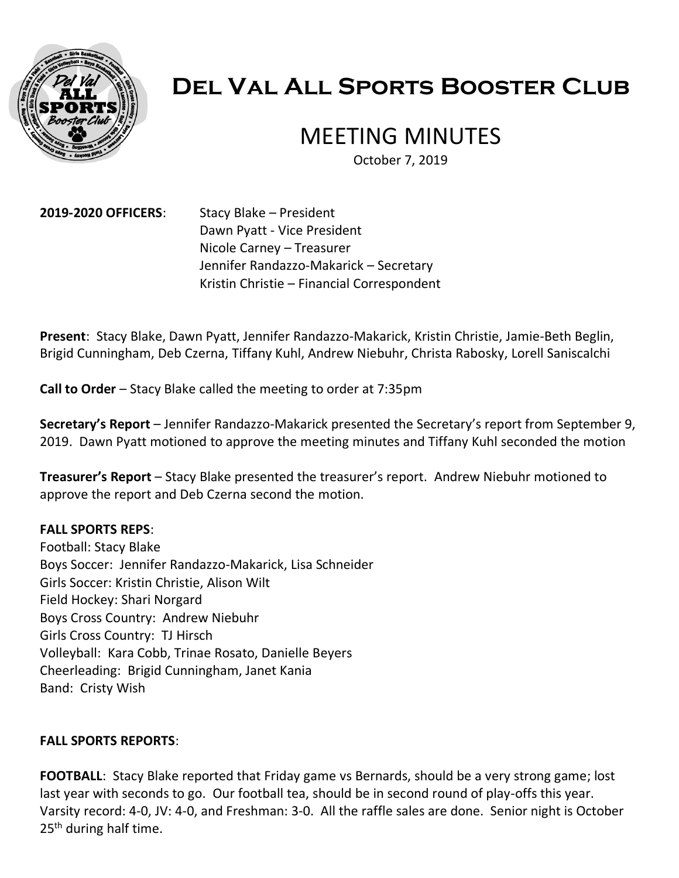

# **Del Val All Sports Booster Club**

# MEETING MINUTES

October 7, 2019

**2019-2020 OFFICERS**: Stacy Blake – President Dawn Pyatt - Vice President Nicole Carney – Treasurer Jennifer Randazzo-Makarick – Secretary Kristin Christie – Financial Correspondent

**Present**: Stacy Blake, Dawn Pyatt, Jennifer Randazzo-Makarick, Kristin Christie, Jamie-Beth Beglin, Brigid Cunningham, Deb Czerna, Tiffany Kuhl, Andrew Niebuhr, Christa Rabosky, Lorell Saniscalchi

**Call to Order** – Stacy Blake called the meeting to order at 7:35pm

**Secretary's Report** – Jennifer Randazzo-Makarick presented the Secretary's report from September 9, 2019. Dawn Pyatt motioned to approve the meeting minutes and Tiffany Kuhl seconded the motion

**Treasurer's Report** – Stacy Blake presented the treasurer's report. Andrew Niebuhr motioned to approve the report and Deb Czerna second the motion.

#### **FALL SPORTS REPS**:

Football: Stacy Blake Boys Soccer: Jennifer Randazzo-Makarick, Lisa Schneider Girls Soccer: Kristin Christie, Alison Wilt Field Hockey: Shari Norgard Boys Cross Country: Andrew Niebuhr Girls Cross Country: TJ Hirsch Volleyball: Kara Cobb, Trinae Rosato, Danielle Beyers Cheerleading: Brigid Cunningham, Janet Kania Band: Cristy Wish

#### **FALL SPORTS REPORTS**:

**FOOTBALL:** Stacy Blake reported that Friday game vs Bernards, should be a very strong game; lost last year with seconds to go. Our football tea, should be in second round of play-offs this year. Varsity record: 4-0, JV: 4-0, and Freshman: 3-0. All the raffle sales are done. Senior night is October 25<sup>th</sup> during half time.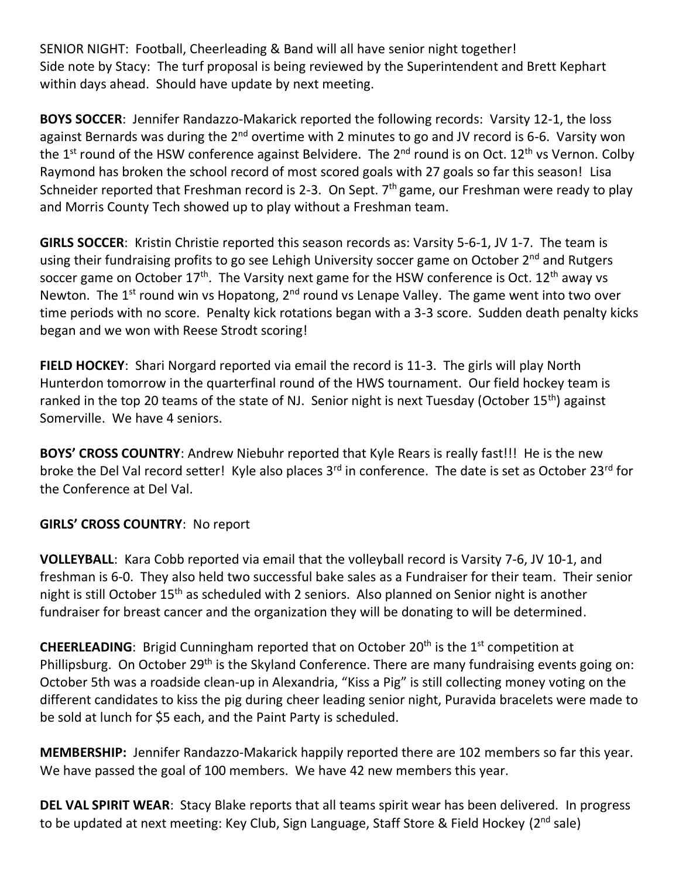SENIOR NIGHT: Football, Cheerleading & Band will all have senior night together! Side note by Stacy: The turf proposal is being reviewed by the Superintendent and Brett Kephart within days ahead. Should have update by next meeting.

**BOYS SOCCER**: Jennifer Randazzo-Makarick reported the following records: Varsity 12-1, the loss against Bernards was during the 2<sup>nd</sup> overtime with 2 minutes to go and JV record is 6-6. Varsity won the 1<sup>st</sup> round of the HSW conference against Belvidere. The 2<sup>nd</sup> round is on Oct. 12<sup>th</sup> vs Vernon. Colby Raymond has broken the school record of most scored goals with 27 goals so far this season! Lisa Schneider reported that Freshman record is 2-3. On Sept.  $7<sup>th</sup>$  game, our Freshman were ready to play and Morris County Tech showed up to play without a Freshman team.

**GIRLS SOCCER**: Kristin Christie reported this season records as: Varsity 5-6-1, JV 1-7. The team is using their fundraising profits to go see Lehigh University soccer game on October 2<sup>nd</sup> and Rutgers soccer game on October  $17<sup>th</sup>$ . The Varsity next game for the HSW conference is Oct.  $12<sup>th</sup>$  away vs Newton. The  $1^{st}$  round win vs Hopatong,  $2^{nd}$  round vs Lenape Valley. The game went into two over time periods with no score. Penalty kick rotations began with a 3-3 score. Sudden death penalty kicks began and we won with Reese Strodt scoring!

**FIELD HOCKEY**: Shari Norgard reported via email the record is 11-3. The girls will play North Hunterdon tomorrow in the quarterfinal round of the HWS tournament. Our field hockey team is ranked in the top 20 teams of the state of NJ. Senior night is next Tuesday (October 15<sup>th</sup>) against Somerville. We have 4 seniors.

**BOYS' CROSS COUNTRY**: Andrew Niebuhr reported that Kyle Rears is really fast!!! He is the new broke the Del Val record setter! Kyle also places 3<sup>rd</sup> in conference. The date is set as October 23<sup>rd</sup> for the Conference at Del Val.

# **GIRLS' CROSS COUNTRY**: No report

**VOLLEYBALL**: Kara Cobb reported via email that the volleyball record is Varsity 7-6, JV 10-1, and freshman is 6-0. They also held two successful bake sales as a Fundraiser for their team. Their senior night is still October 15<sup>th</sup> as scheduled with 2 seniors. Also planned on Senior night is another fundraiser for breast cancer and the organization they will be donating to will be determined.

**CHEERLEADING:** Brigid Cunningham reported that on October 20<sup>th</sup> is the 1<sup>st</sup> competition at Phillipsburg. On October 29<sup>th</sup> is the Skyland Conference. There are many fundraising events going on: October 5th was a roadside clean-up in Alexandria, "Kiss a Pig" is still collecting money voting on the different candidates to kiss the pig during cheer leading senior night, Puravida bracelets were made to be sold at lunch for \$5 each, and the Paint Party is scheduled.

**MEMBERSHIP:** Jennifer Randazzo-Makarick happily reported there are 102 members so far this year. We have passed the goal of 100 members. We have 42 new members this year.

**DEL VAL SPIRIT WEAR**: Stacy Blake reports that all teams spirit wear has been delivered. In progress to be updated at next meeting: Key Club, Sign Language, Staff Store & Field Hockey (2<sup>nd</sup> sale)